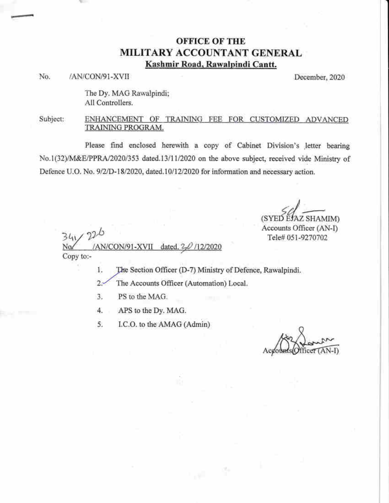## **OFFICE OF THE** MILITARY ACCOUNTANT GENERAL Kashmir Road, Rawalpindi Cantt.

No. /AN/CON/91-XVII December, 2020

The Dy. MAG Rawalpindi; All Controllers.

#### Subject: ENHANCEMENT OF TRAINING FEE FOR CUSTOMIZED ADVANCED TRAINING PROGRAM.

Please find enclosed herewith a copy of Cabinet Division's letter bearing No.1(32)/M&E/PPRA/2020/353 dated.13/11/2020 on the above subject, received vide Ministry of Defence U.O. No. 9/2/D-18/2020, dated.10/12/2020 for information and necessary action.

(SYED EJAZ SHAMIM)

Accounts Officer (AN-I) Tele# 051-9270702

 $341/226$ AN/CON/91-XVII dated.<sub>2</sub>  $/12/2020$ Copy to:-

> The Section Officer (D-7) Ministry of Defence, Rawalpindi. 1.

> > $\psi_{\rm L} = \psi_{\rm L}$

- $2.5$ The Accounts Officer (Automation) Local.
- 3. PS to the MAG.
- 4. APS to the Dy. MAG.
- 5. I.C.O. to the AMAG (Admin)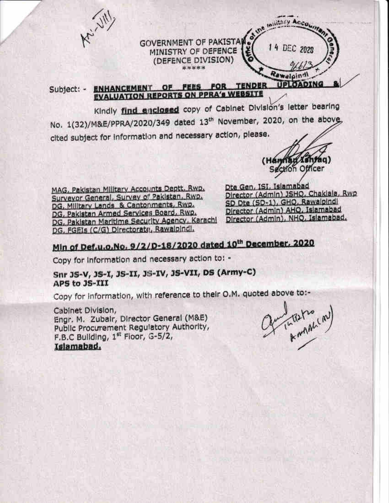

cited subject for information and necessary action, please.

(Handlau Ishfaq)<br>Section Officer

MAG, Pakistan Military Accounts Deptt, Rwp. Surveyor General, Survey of Pakistan, Rwp. DG, Military Lands & Cantor ments, Rwp. DG, Pakistan Armed Services Board, Rwp. DG, Pakistan Maritime Security Agency, Karachi DG, FGEIs (C/G) Directorate, Rawalpindi,

Dte Gen, ISI, Islamabad Director (Admin) JSHQ, Chaklala, Rwp SD Dte (SD-1), GHQ, Rawalpindi Director (Admin) AHQ, Islamabad Director (Admin), NHQ, Islamabad,

# Min of Def.u.o.No. 9/2/D-18/2020 dated 10th December, 2020

Copy for information and necessary action to: -

Snr JS-V, JS-I, JS-II, JS-IV, JS-VII, DS (Army-C) APS to JS-III

Copy for information, with reference to their O.M. quoted above to:-

Cabinet Division, Engr. M. Zubair, Director General (M&E) Public Procurement Regulatory Authority, F.B.C Building, 1st Floor, G-5/2, Islamabad.

fundational